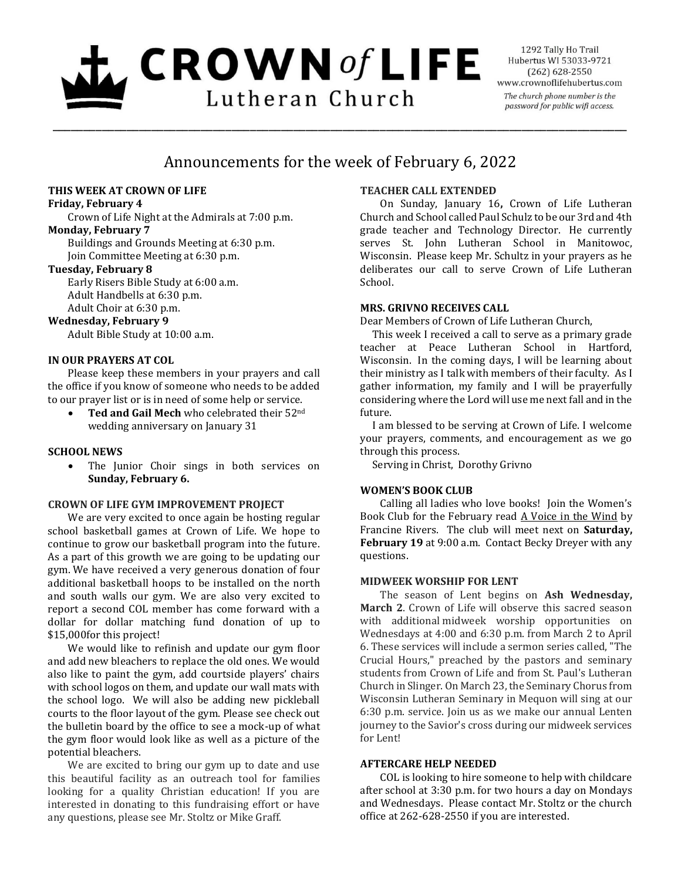# $L$  CROWN of LIFE Lutheran Church

1292 Tally Ho Trail Hubertus WI 53033-9721  $(262) 628 - 2550$ www.crownoflifehubertus.com The church phone number is the password for public wifi access.

# Announcements for the week of February 6, 2022

\_\_\_\_\_\_\_\_\_\_\_\_\_\_\_\_\_\_\_\_\_\_\_\_\_\_\_\_\_\_\_\_\_\_\_\_\_\_\_\_\_\_\_\_\_\_\_\_\_\_\_\_\_\_\_\_\_\_\_\_\_\_\_\_\_\_\_\_\_\_\_\_\_\_\_\_\_\_\_\_\_\_\_\_\_\_\_\_\_\_\_\_\_

#### **THIS WEEK AT CROWN OF LIFE**

#### **Friday, February 4**

Crown of Life Night at the Admirals at 7:00 p.m. **Monday, February 7**

Buildings and Grounds Meeting at 6:30 p.m. Join Committee Meeting at 6:30 p.m.

### **Tuesday, February 8**

Early Risers Bible Study at 6:00 a.m. Adult Handbells at 6:30 p.m. Adult Choir at 6:30 p.m.

#### **Wednesday, February 9**

Adult Bible Study at 10:00 a.m.

#### **IN OUR PRAYERS AT COL**

Please keep these members in your prayers and call the office if you know of someone who needs to be added to our prayer list or is in need of some help or service.

 **Ted and Gail Mech** who celebrated their 52nd wedding anniversary on January 31

#### **SCHOOL NEWS**

• The Junior Choir sings in both services on **Sunday, February 6.**

#### **CROWN OF LIFE GYM IMPROVEMENT PROJECT**

We are very excited to once again be hosting regular school basketball games at Crown of Life. We hope to continue to grow our basketball program into the future. As a part of this growth we are going to be updating our gym. We have received a very generous donation of four additional basketball hoops to be installed on the north and south walls our gym. We are also very excited to report a second COL member has come forward with a dollar for dollar matching fund donation of up to \$15,000for this project!

We would like to refinish and update our gym floor and add new bleachers to replace the old ones. We would also like to paint the gym, add courtside players' chairs with school logos on them, and update our wall mats with the school logo. We will also be adding new pickleball courts to the floor layout of the gym. Please see check out the bulletin board by the office to see a mock-up of what the gym floor would look like as well as a picture of the potential bleachers.

We are excited to bring our gym up to date and use this beautiful facility as an outreach tool for families looking for a quality Christian education! If you are interested in donating to this fundraising effort or have any questions, please see Mr. Stoltz or Mike Graff.

# **TEACHER CALL EXTENDED**

On Sunday, January 16**,** Crown of Life Lutheran Church and School called Paul Schulz to be our 3rd and 4th grade teacher and Technology Director. He currently serves St. John Lutheran School in Manitowoc, Wisconsin. Please keep Mr. Schultz in your prayers as he deliberates our call to serve Crown of Life Lutheran School.

#### **MRS. GRIVNO RECEIVES CALL**

Dear Members of Crown of Life Lutheran Church,

 This week I received a call to serve as a primary grade teacher at Peace Lutheran School in Hartford, Wisconsin. In the coming days, I will be learning about their ministry as I talk with members of their faculty. As I gather information, my family and I will be prayerfully considering where the Lord will use me next fall and in the future.

 I am blessed to be serving at Crown of Life. I welcome your prayers, comments, and encouragement as we go through this process.

Serving in Christ, Dorothy Grivno

#### **WOMEN'S BOOK CLUB**

Calling all ladies who love books! Join the Women's Book Club for the February read A Voice in the Wind by Francine Rivers. The club will meet next on **Saturday, February 19** at 9:00 a.m. Contact Becky Dreyer with any questions.

#### **MIDWEEK WORSHIP FOR LENT**

The season of Lent begins on **Ash Wednesday, March 2**. Crown of Life will observe this sacred season with additional midweek worship opportunities on Wednesdays at 4:00 and 6:30 p.m. from March 2 to April 6. These services will include a sermon series called, "The Crucial Hours," preached by the pastors and seminary students from Crown of Life and from St. Paul's Lutheran Church in Slinger. On March 23, the Seminary Chorus from Wisconsin Lutheran Seminary in Mequon will sing at our 6:30 p.m. service. Join us as we make our annual Lenten journey to the Savior's cross during our midweek services for Lent!

#### **AFTERCARE HELP NEEDED**

COL is looking to hire someone to help with childcare after school at 3:30 p.m. for two hours a day on Mondays and Wednesdays. Please contact Mr. Stoltz or the church office at 262-628-2550 if you are interested.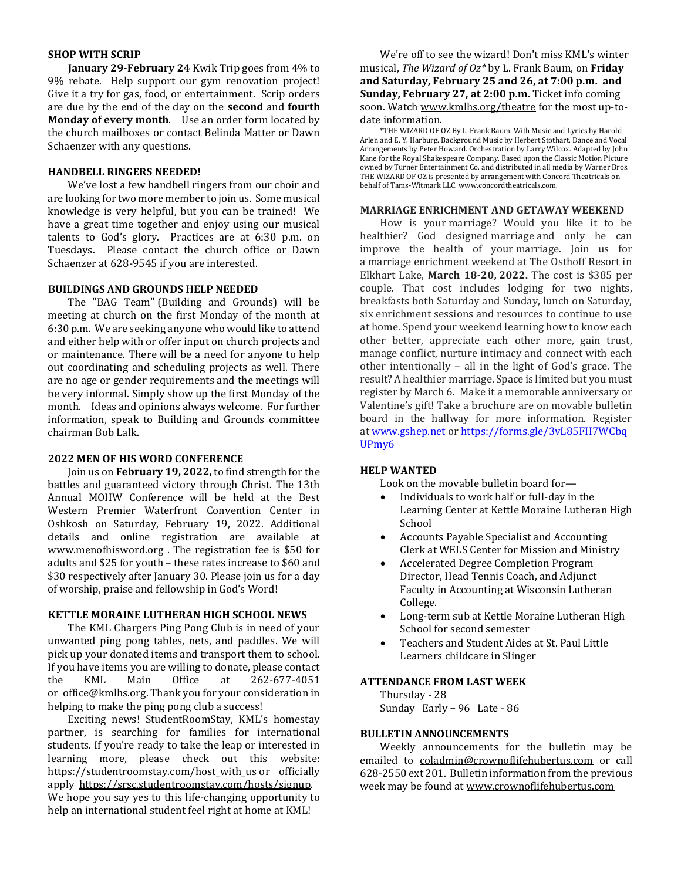#### **SHOP WITH SCRIP**

**January 29-February 24** Kwik Trip goes from 4% to 9% rebate. Help support our gym renovation project! Give it a try for gas, food, or entertainment. Scrip orders are due by the end of the day on the **second** and **fourth Monday of every month**. Use an order form located by the church mailboxes or contact Belinda Matter or Dawn Schaenzer with any questions.

#### **HANDBELL RINGERS NEEDED!**

We've lost a few handbell ringers from our choir and are looking for two more member to join us. Some musical knowledge is very helpful, but you can be trained! We have a great time together and enjoy using our musical talents to God's glory. Practices are at 6:30 p.m. on Tuesdays. Please contact the church office or Dawn Schaenzer at 628-9545 if you are interested.

#### **BUILDINGS AND GROUNDS HELP NEEDED**

The "BAG Team" (Building and Grounds) will be meeting at church on the first Monday of the month at 6:30 p.m. We are seeking anyone who would like to attend and either help with or offer input on church projects and or maintenance. There will be a need for anyone to help out coordinating and scheduling projects as well. There are no age or gender requirements and the meetings will be very informal. Simply show up the first Monday of the month. Ideas and opinions always welcome. For further information, speak to Building and Grounds committee chairman Bob Lalk.

#### **2022 MEN OF HIS WORD CONFERENCE**

Join us on **February 19, 2022,** to find strength for the battles and guaranteed victory through Christ. The 13th Annual MOHW Conference will be held at the Best Western Premier Waterfront Convention Center in Oshkosh on Saturday, February 19, 2022. Additional details and online registration are available at www.menofhisword.org . The registration fee is \$50 for adults and \$25 for youth – these rates increase to \$60 and \$30 respectively after January 30. Please join us for a day of worship, praise and fellowship in God's Word!

#### **KETTLE MORAINE LUTHERAN HIGH SCHOOL NEWS**

The KML Chargers Ping Pong Club is in need of your unwanted ping pong tables, nets, and paddles. We will pick up your donated items and transport them to school. If you have items you are willing to donate, please contact the KML Main Office at 262-677-4051 or office@kmlhs.org. Thank you for your consideration in helping to make the ping pong club a success!

Exciting news! StudentRoomStay, KML's homestay partner, is searching for families for international students. If you're ready to take the leap or interested in learning more, please check out this website: https://studentroomstay.com/host\_with\_us or \_officially apply https://srsc.studentroomstay.com/hosts/signup. We hope you say yes to this life-changing opportunity to help an international student feel right at home at KML!

We're off to see the wizard! Don't miss KML's winter musical, *The Wizard of Oz\** by L. Frank Baum, on **Friday and Saturday, February 25 and 26, at 7:00 p.m. and Sunday, February 27, at 2:00 p.m.** Ticket info coming soon. Watch www.kmlhs.org/theatre for the most up-todate information.

\*THE WIZARD OF OZ By L. Frank Baum. With Music and Lyrics by Harold Arlen and E. Y. Harburg. Background Music by Herbert Stothart. Dance and Vocal Arrangements by Peter Howard. Orchestration by Larry Wilcox. Adapted by John Kane for the Royal Shakespeare Company. Based upon the Classic Motion Picture owned by Turner Entertainment Co. and distributed in all media by Warner Bros. THE WIZARD OF OZ is presented by arrangement with Concord Theatricals on behalf of Tams-Witmark LLC. www.concordtheatricals.com.

#### **MARRIAGE ENRICHMENT AND GETAWAY WEEKEND**

How is your marriage? Would you like it to be healthier? God designed marriage and only he can improve the health of your marriage. Join us for a marriage enrichment weekend at The Osthoff Resort in Elkhart Lake, **March 18-20, 2022.** The cost is \$385 per couple. That cost includes lodging for two nights, breakfasts both Saturday and Sunday, lunch on Saturday, six enrichment sessions and resources to continue to use at home. Spend your weekend learning how to know each other better, appreciate each other more, gain trust, manage conflict, nurture intimacy and connect with each other intentionally – all in the light of God's grace. The result? A healthier marriage. Space is limited but you must register by March 6. Make it a memorable anniversary or Valentine's gift! Take a brochure are on movable bulletin board in the hallway for more information. Register at www.gshep.net or https://forms.gle/3vL85FH7WCbq UPmy6

#### **HELP WANTED**

Look on the movable bulletin board for—

- Individuals to work half or full-day in the Learning Center at Kettle Moraine Lutheran High School
- Accounts Payable Specialist and Accounting Clerk at WELS Center for Mission and Ministry
- Accelerated Degree Completion Program Director, Head Tennis Coach, and Adjunct Faculty in Accounting at Wisconsin Lutheran College.
- Long-term sub at Kettle Moraine Lutheran High School for second semester
- Teachers and Student Aides at St. Paul Little Learners childcare in Slinger

#### **ATTENDANCE FROM LAST WEEK**

Thursday - 28 Sunday Early **–** 96 Late - 86

#### **BULLETIN ANNOUNCEMENTS**

Weekly announcements for the bulletin may be emailed to coladmin@crownoflifehubertus.com or call 628-2550 ext 201. Bulletin information from the previous week may be found at www.crownoflifehubertus.com